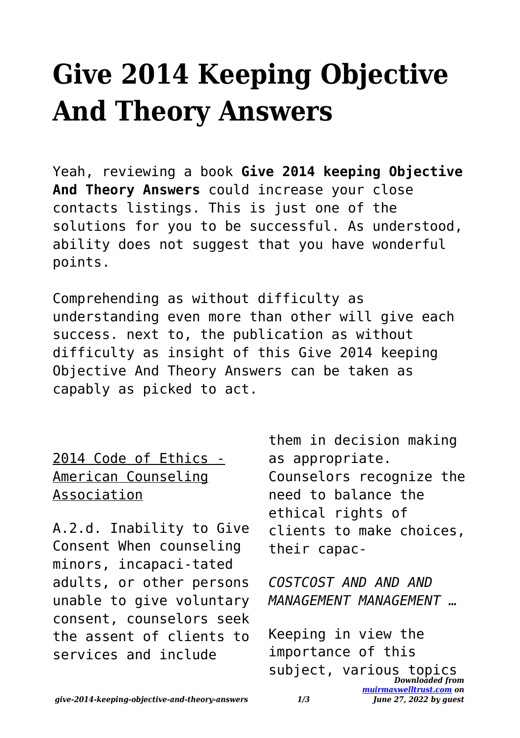## **Give 2014 Keeping Objective And Theory Answers**

Yeah, reviewing a book **Give 2014 keeping Objective And Theory Answers** could increase your close contacts listings. This is just one of the solutions for you to be successful. As understood, ability does not suggest that you have wonderful points.

Comprehending as without difficulty as understanding even more than other will give each success. next to, the publication as without difficulty as insight of this Give 2014 keeping Objective And Theory Answers can be taken as capably as picked to act.

2014 Code of Ethics - American Counseling Association

A.2.d. Inability to Give Consent When counseling minors, incapaci-tated adults, or other persons unable to give voluntary consent, counselors seek the assent of clients to services and include

them in decision making as appropriate. Counselors recognize the need to balance the ethical rights of clients to make choices, their capac-

*COSTCOST AND AND AND MANAGEMENT MANAGEMENT …*

*Downloaded from* subject, various topics*[muirmaxwelltrust.com](https://muirmaxwelltrust.com) on* Keeping in view the importance of this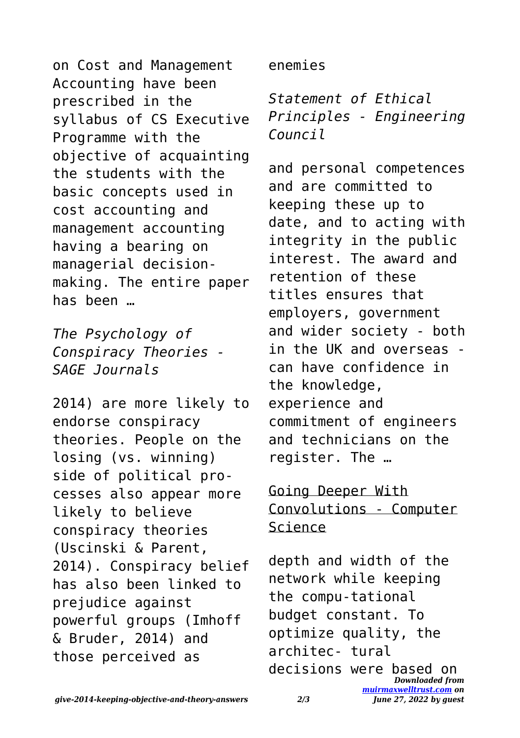on Cost and Management Accounting have been prescribed in the syllabus of CS Executive Programme with the objective of acquainting the students with the basic concepts used in cost accounting and management accounting having a bearing on managerial decisionmaking. The entire paper has been …

*The Psychology of Conspiracy Theories - SAGE Journals*

2014) are more likely to endorse conspiracy theories. People on the losing (vs. winning) side of political processes also appear more likely to believe conspiracy theories (Uscinski & Parent, 2014). Conspiracy belief has also been linked to prejudice against powerful groups (Imhoff & Bruder, 2014) and those perceived as

enemies

*Statement of Ethical Principles - Engineering Council*

and personal competences and are committed to keeping these up to date, and to acting with integrity in the public interest. The award and retention of these titles ensures that employers, government and wider society - both in the UK and overseas can have confidence in the knowledge, experience and commitment of engineers and technicians on the register. The …

Going Deeper With Convolutions - Computer Science

depth and width of the network while keeping the compu-tational budget constant. To optimize quality, the architec- tural decisions were based on